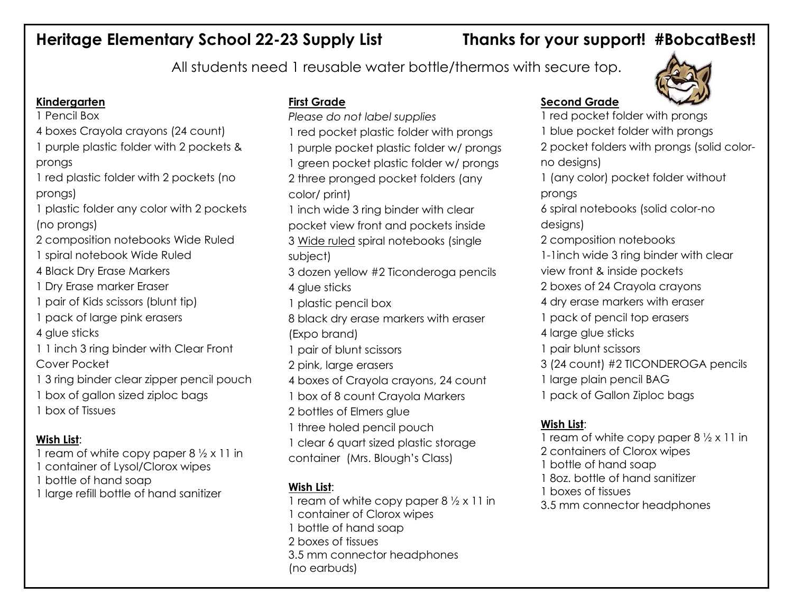# **Heritage Elementary School 22-23 Supply List Thanks for your support! #BobcatBest!**

All students need 1 reusable water bottle/thermos with secure top.

## **Kindergarten**

1 Pencil Box

- 4 boxes Crayola crayons (24 count)
- 1 purple plastic folder with 2 pockets & prongs
- 1 red plastic folder with 2 pockets (no prongs)
- 1 plastic folder any color with 2 pockets (no prongs)
- 2 composition notebooks Wide Ruled
- 1 spiral notebook Wide Ruled
- 4 Black Dry Erase Markers
- 1 Dry Erase marker Eraser
- 1 pair of Kids scissors (blunt tip)
- 1 pack of large pink erasers
- 4 glue sticks
- 1 1 inch 3 ring binder with Clear Front Cover Pocket
- 1 3 ring binder clear zipper pencil pouch
- 1 box of gallon sized ziploc bags
- 1 box of Tissues

## **Wish List**:

- 1 ream of white copy paper 8 ½ x 11 in
- 1 container of Lysol/Clorox wipes
- 1 bottle of hand soap
- 1 large refill bottle of hand sanitizer

# **First Grade**

- *Please do not label supplies* 1 red pocket plastic folder with prongs
- 1 purple pocket plastic folder w/ prongs
- 1 green pocket plastic folder w/ prongs 2 three pronged pocket folders (any color/ print)
- 1 inch wide 3 ring binder with clear
- pocket view front and pockets inside
- 3 Wide ruled spiral notebooks (single subject)
- 3 dozen yellow #2 Ticonderoga pencils 4 glue sticks
- 1 plastic pencil box
- 8 black dry erase markers with eraser (Expo brand)
- 1 pair of blunt scissors
- 2 pink, large erasers
- 4 boxes of Crayola crayons, 24 count
- 1 box of 8 count Crayola Markers
- 2 bottles of Elmers glue
- 1 three holed pencil pouch
- 1 clear 6 quart sized plastic storage
- container (Mrs. Blough's Class)

# **Wish List**:

1 ream of white copy paper 8 ½ x 11 in 1 container of Clorox wipes 1 bottle of hand soap 2 boxes of tissues 3.5 mm connector headphones (no earbuds)

# **Second Grade**



- 1 red pocket folder with prongs
- 1 blue pocket folder with prongs
- 2 pocket folders with prongs (solid colorno designs)
- 1 (any color) pocket folder without
- prongs
- 6 spiral notebooks (solid color-no designs)
- 2 composition notebooks
- 1-1inch wide 3 ring binder with clear
- view front & inside pockets
- 2 boxes of 24 Crayola crayons
- 4 dry erase markers with eraser
- 1 pack of pencil top erasers
- 4 large glue sticks
- 1 pair blunt scissors
- 3 (24 count) #2 TICONDEROGA pencils
- 1 large plain pencil BAG
- 1 pack of Gallon Ziploc bags

# **Wish List**:

1 ream of white copy paper 8 ½ x 11 in 2 containers of Clorox wipes 1 bottle of hand soap 1 8oz. bottle of hand sanitizer 1 boxes of tissues 3.5 mm connector headphones